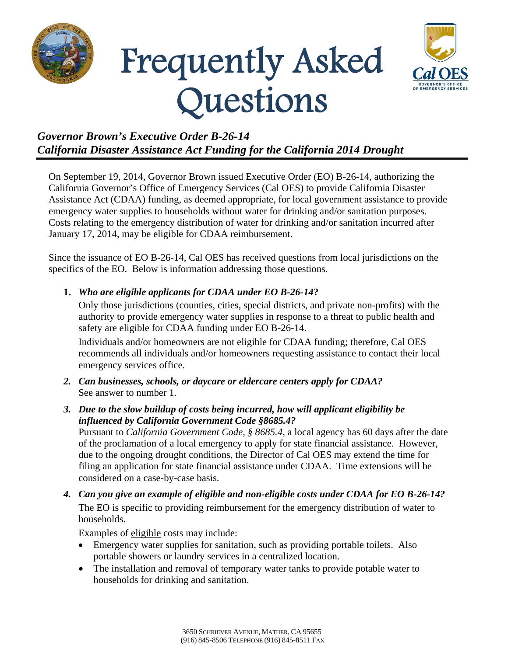





## *Governor Brown's Executive Order B-26-14 California Disaster Assistance Act Funding for the California 2014 Drought*

On September 19, 2014, Governor Brown issued Executive Order (EO) B-26-14, authorizing the California Governor's Office of Emergency Services (Cal OES) to provide California Disaster Assistance Act (CDAA) funding, as deemed appropriate, for local government assistance to provide emergency water supplies to households without water for drinking and/or sanitation purposes. Costs relating to the emergency distribution of water for drinking and/or sanitation incurred after January 17, 2014, may be eligible for CDAA reimbursement.

Since the issuance of EO B-26-14, Cal OES has received questions from local jurisdictions on the specifics of the EO. Below is information addressing those questions.

## **1.** *Who are eligible applicants for CDAA under EO B-26-14***?**

Only those jurisdictions (counties, cities, special districts, and private non-profits) with the authority to provide emergency water supplies in response to a threat to public health and safety are eligible for CDAA funding under EO B-26-14.

Individuals and/or homeowners are not eligible for CDAA funding; therefore, Cal OES recommends all individuals and/or homeowners requesting assistance to contact their local emergency services office.

*2. Can businesses, schools, or daycare or eldercare centers apply for CDAA?*  See answer to number 1.

## *3. Due to the slow buildup of costs being incurred, how will applicant eligibility be influenced by California Government Code §8685.4?*

Pursuant to *California Government Code, § 8685.4,* a local agency has 60 days after the date of the proclamation of a local emergency to apply for state financial assistance. However, due to the ongoing drought conditions, the Director of Cal OES may extend the time for filing an application for state financial assistance under CDAA. Time extensions will be considered on a case-by-case basis.

*4. Can you give an example of eligible and non-eligible costs under CDAA for EO B-26-14?*  The EO is specific to providing reimbursement for the emergency distribution of water to households.

Examples of eligible costs may include:

- Emergency water supplies for sanitation, such as providing portable toilets. Also portable showers or laundry services in a centralized location.
- The installation and removal of temporary water tanks to provide potable water to households for drinking and sanitation.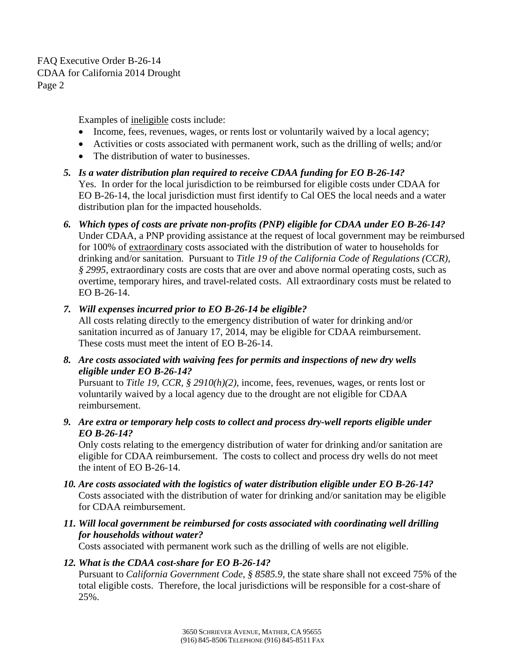FAQ Executive Order B-26-14 CDAA for California 2014 Drought Page 2

Examples of ineligible costs include:

- Income, fees, revenues, wages, or rents lost or voluntarily waived by a local agency;
- Activities or costs associated with permanent work, such as the drilling of wells; and/or
- The distribution of water to businesses.
- *5. Is a water distribution plan required to receive CDAA funding for EO B-26-14?*  Yes. In order for the local jurisdiction to be reimbursed for eligible costs under CDAA for EO B-26-14, the local jurisdiction must first identify to Cal OES the local needs and a water distribution plan for the impacted households.
- *6. Which types of costs are private non-profits (PNP) eligible for CDAA under EO B-26-14?*  Under CDAA, a PNP providing assistance at the request of local government may be reimbursed for 100% of extraordinary costs associated with the distribution of water to households for drinking and/or sanitation. Pursuant to *Title 19 of the California Code of Regulations (CCR), § 2995,* extraordinary costs are costs that are over and above normal operating costs, such as overtime, temporary hires, and travel-related costs. All extraordinary costs must be related to EO B-26-14.
- *7. Will expenses incurred prior to EO B-26-14 be eligible?*

All costs relating directly to the emergency distribution of water for drinking and/or sanitation incurred as of January 17, 2014, may be eligible for CDAA reimbursement. These costs must meet the intent of EO B-26-14.

*8. Are costs associated with waiving fees for permits and inspections of new dry wells eligible under EO B-26-14?* 

Pursuant to *Title 19*, *CCR, § 2910(h)(2),* income, fees, revenues, wages, or rents lost or voluntarily waived by a local agency due to the drought are not eligible for CDAA reimbursement.

*9. Are extra or temporary help costs to collect and process dry-well reports eligible under EO B-26-14?* 

Only costs relating to the emergency distribution of water for drinking and/or sanitation are eligible for CDAA reimbursement. The costs to collect and process dry wells do not meet the intent of EO B-26-14.

- *10. Are costs associated with the logistics of water distribution eligible under EO B-26-14?*  Costs associated with the distribution of water for drinking and/or sanitation may be eligible for CDAA reimbursement.
- *11. Will local government be reimbursed for costs associated with coordinating well drilling for households without water?*

Costs associated with permanent work such as the drilling of wells are not eligible.

## *12. What is the CDAA cost-share for EO B-26-14?*

Pursuant to *California Government Code, § 8585.9,* the state share shall not exceed 75% of the total eligible costs. Therefore, the local jurisdictions will be responsible for a cost-share of 25%.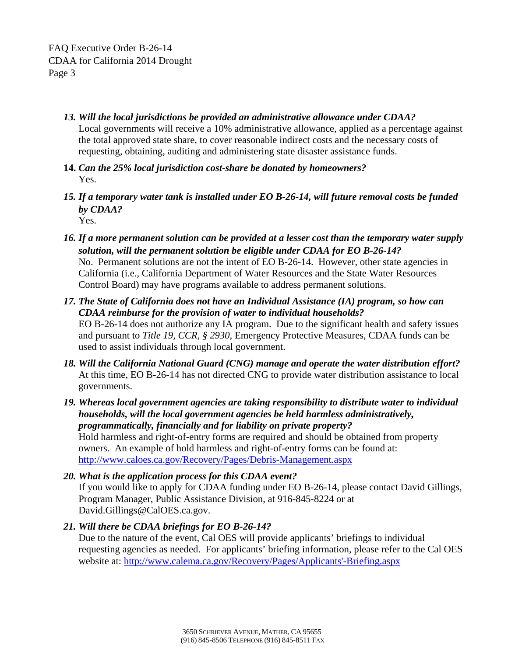- *13. Will the local jurisdictions be provided an administrative allowance under CDAA?* Local governments will receive a 10% administrative allowance, applied as a percentage against the total approved state share, to cover reasonable indirect costs and the necessary costs of requesting, obtaining, auditing and administering state disaster assistance funds.
- **14.** *Can the 25% local jurisdiction cost-share be donated by homeowners?*  Yes.
- *15. If a temporary water tank is installed under EO B-26-14, will future removal costs be funded by CDAA?*  Yes.
- *16. If a more permanent solution can be provided at a lesser cost than the temporary water supply solution, will the permanent solution be eligible under CDAA for EO B-26-14?*  No. Permanent solutions are not the intent of EO B-26-14. However, other state agencies in California (i.e., California Department of Water Resources and the State Water Resources Control Board) may have programs available to address permanent solutions.
- *17. The State of California does not have an Individual Assistance (IA) program, so how can CDAA reimburse for the provision of water to individual households?* EO B-26-14 does not authorize any IA program. Due to the significant health and safety issues and pursuant to *Title 19, CCR, § 2930*, Emergency Protective Measures, CDAA funds can be used to assist individuals through local government.
- *18. Will the California National Guard (CNG) manage and operate the water distribution effort?* At this time, EO B-26-14 has not directed CNG to provide water distribution assistance to local governments.
- *19. Whereas local government agencies are taking responsibility to distribute water to individual households, will the local government agencies be held harmless administratively, programmatically, financially and for liability on private property?* Hold harmless and right-of-entry forms are required and should be obtained from property owners. An example of hold harmless and right-of-entry forms can be found at: http://www.caloes.ca.gov/Recovery/Pages/Debris-Management.aspx
- *20. What is the application process for this CDAA event?*  If you would like to apply for CDAA funding under EO B-26-14, please contact David Gillings, Program Manager, Public Assistance Division, at 916-845-8224 or at David.Gillings@CalOES.ca.gov.
- *21. Will there be CDAA briefings for EO B-26-14?*

Due to the nature of the event, Cal OES will provide applicants' briefings to individual requesting agencies as needed. For applicants' briefing information, please refer to the Cal OES website at: http://www.calema.ca.gov/Recovery/Pages/Applicants'-Briefing.aspx